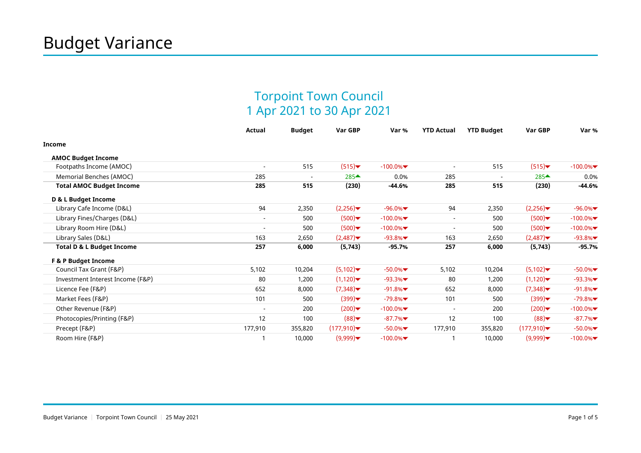## Torpoint Town Council 1 Apr 2021 to 30 Apr 2021

|                                      | <b>Actual</b>            | <b>Budget</b>            | Var GBP         | Var %      | <b>YTD Actual</b>        | <b>YTD Budget</b>        | Var GBP         | Var %      |
|--------------------------------------|--------------------------|--------------------------|-----------------|------------|--------------------------|--------------------------|-----------------|------------|
| <b>Income</b>                        |                          |                          |                 |            |                          |                          |                 |            |
| <b>AMOC Budget Income</b>            |                          |                          |                 |            |                          |                          |                 |            |
| Footpaths Income (AMOC)              |                          | 515                      | (515)           | $-100.0\%$ |                          | 515                      | (515)           | $-100.0\%$ |
| Memorial Benches (AMOC)              | 285                      | $\overline{\phantom{a}}$ | $285 \triangle$ | 0.0%       | 285                      | $\overline{\phantom{a}}$ | $285 \triangle$ | 0.0%       |
| <b>Total AMOC Budget Income</b>      | 285                      | 515                      | (230)           | $-44.6%$   | 285                      | 515                      | (230)           | -44.6%     |
| D & L Budget Income                  |                          |                          |                 |            |                          |                          |                 |            |
| Library Cafe Income (D&L)            | 94                       | 2,350                    | (2,256)         | $-96.0%$   | 94                       | 2,350                    | (2,256)         | $-96.0%$   |
| Library Fines/Charges (D&L)          | $\overline{\phantom{a}}$ | 500                      | (500)           | $-100.0\%$ | $\sim$                   | 500                      | (500)           | $-100.0\%$ |
| Library Room Hire (D&L)              | $\sim$                   | 500                      | (500)           | $-100.0\%$ | $\overline{\phantom{a}}$ | 500                      | (500)           | $-100.0\%$ |
| Library Sales (D&L)                  | 163                      | 2,650                    | (2,487)         | $-93.8%$   | 163                      | 2,650                    | (2,487)         | $-93.8%$   |
| <b>Total D &amp; L Budget Income</b> | 257                      | 6,000                    | (5,743)         | $-95.7%$   | 257                      | 6,000                    | (5,743)         | $-95.7%$   |
| <b>F &amp; P Budget Income</b>       |                          |                          |                 |            |                          |                          |                 |            |
| Council Tax Grant (F&P)              | 5,102                    | 10,204                   | (5,102)         | $-50.0\%$  | 5,102                    | 10,204                   | (5,102)         | $-50.0\%$  |
| Investment Interest Income (F&P)     | 80                       | 1,200                    | (1,120)         | $-93.3%$   | 80                       | 1,200                    | (1,120)         | $-93.3%$   |
| Licence Fee (F&P)                    | 652                      | 8,000                    | (7,348)         | $-91.8%$   | 652                      | 8,000                    | (7,348)         | $-91.8%$   |
| Market Fees (F&P)                    | 101                      | 500                      | (399)           | $-79.8%$   | 101                      | 500                      | (399)           | $-79.8%$   |
| Other Revenue (F&P)                  |                          | 200                      | (200)           | $-100.0\%$ | $\overline{\phantom{a}}$ | 200                      | (200)           | $-100.0\%$ |
| Photocopies/Printing (F&P)           | 12                       | 100                      | (88)            | $-87.7%$   | 12                       | 100                      | (88)            | $-87.7%$   |
| Precept (F&P)                        | 177,910                  | 355,820                  | (177, 910)      | $-50.0\%$  | 177,910                  | 355,820                  | (177,910)       | $-50.0\%$  |
| Room Hire (F&P)                      |                          | 10,000                   | (9,999)         | $-100.0\%$ |                          | 10,000                   | (9,999)         | $-100.0\%$ |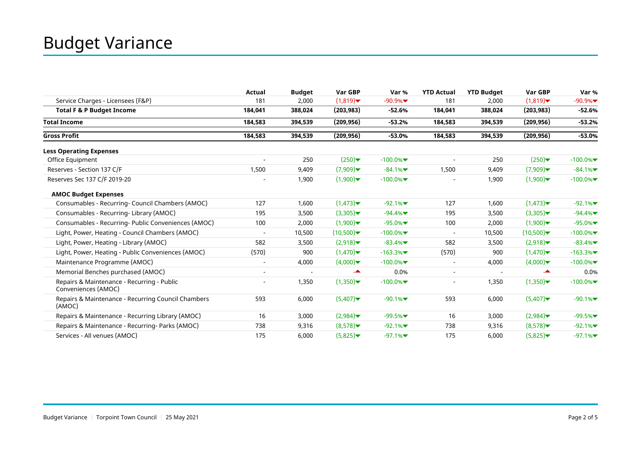|                                                                   | Actual                   | <b>Budget</b> | Var GBP                         | Var %      | <b>YTD Actual</b>        | <b>YTD Budget</b> | Var GBP    | Var %      |
|-------------------------------------------------------------------|--------------------------|---------------|---------------------------------|------------|--------------------------|-------------------|------------|------------|
| Service Charges - Licensees (F&P)                                 | 181                      | 2,000         | (1,819)                         | $-90.9%$   | 181                      | 2,000             | (1,819)    | $-90.9%$   |
| <b>Total F &amp; P Budget Income</b>                              | 184,041                  | 388,024       | (203, 983)                      | $-52.6%$   | 184,041                  | 388,024           | (203, 983) | $-52.6%$   |
| <b>Total Income</b>                                               | 184,583                  | 394,539       | (209, 956)                      | $-53.2%$   | 184,583                  | 394,539           | (209, 956) | $-53.2%$   |
| <b>Gross Profit</b>                                               | 184,583                  | 394,539       | (209, 956)                      | $-53.0%$   | 184,583                  | 394,539           | (209, 956) | $-53.0%$   |
| <b>Less Operating Expenses</b>                                    |                          |               |                                 |            |                          |                   |            |            |
| Office Equipment                                                  |                          | 250           | (250)                           | $-100.0\%$ |                          | 250               | (250)      | $-100.0\%$ |
| Reserves - Section 137 C/F                                        | 1,500                    | 9,409         | (7,909)                         | $-84.1%$   | 1,500                    | 9,409             | (7,909)    | $-84.1%$   |
| Reserves Sec 137 C/F 2019-20                                      |                          | 1,900         | (1,900)                         | $-100.0\%$ |                          | 1,900             | (1,900)    | $-100.0\%$ |
| <b>AMOC Budget Expenses</b>                                       |                          |               |                                 |            |                          |                   |            |            |
| Consumables - Recurring- Council Chambers (AMOC)                  | 127                      | 1,600         | (1,473)                         | $-92.1%$   | 127                      | 1,600             | (1,473)    | $-92.1%$   |
| Consumables - Recurring- Library (AMOC)                           | 195                      | 3,500         | (3,305)                         | $-94.4%$   | 195                      | 3,500             | (3,305)    | $-94.4%$   |
| Consumables - Recurring- Public Conveniences (AMOC)               | 100                      | 2,000         | (1,900)                         | $-95.0%$   | 100                      | 2,000             | (1,900)    | $-95.0%$   |
| Light, Power, Heating - Council Chambers (AMOC)                   |                          | 10,500        | (10,500)                        | $-100.0\%$ |                          | 10,500            | (10,500)   | $-100.0\%$ |
| Light, Power, Heating - Library (AMOC)                            | 582                      | 3,500         | (2,918)                         | $-83.4%$   | 582                      | 3,500             | (2,918)    | $-83.4%$   |
| Light, Power, Heating - Public Conveniences (AMOC)                | (570)                    | 900           | (1,470)                         | $-163.3%$  | (570)                    | 900               | (1,470)    | $-163.3%$  |
| Maintenance Programme (AMOC)                                      | $\overline{\phantom{a}}$ | 4,000         | $(4,000)$ $\blacktriangleright$ | $-100.0\%$ | $\overline{\phantom{a}}$ | 4,000             | (4,000)    | $-100.0\%$ |
| Memorial Benches purchased (AMOC)                                 | $\overline{\phantom{0}}$ |               | ┻                               | 0.0%       | $\blacksquare$           |                   | تخب        | 0.0%       |
| Repairs & Maintenance - Recurring - Public<br>Conveniences (AMOC) |                          | 1,350         | (1,350)                         | $-100.0\%$ |                          | 1,350             | (1,350)    | $-100.0\%$ |
| Repairs & Maintenance - Recurring Council Chambers<br>(AMOC)      | 593                      | 6,000         | (5,407)                         | $-90.1%$   | 593                      | 6,000             | (5,407)    | $-90.1%$   |
| Repairs & Maintenance - Recurring Library (AMOC)                  | 16                       | 3,000         | (2,984)                         | $-99.5%$   | 16                       | 3,000             | (2,984)    | $-99.5%$   |
| Repairs & Maintenance - Recurring- Parks (AMOC)                   | 738                      | 9,316         | (8,578)                         | $-92.1%$   | 738                      | 9,316             | (8,578)    | $-92.1%$   |
| Services - All venues (AMOC)                                      | 175                      | 6,000         | (5,825)                         | $-97.1%$   | 175                      | 6,000             | (5,825)    | $-97.1%$   |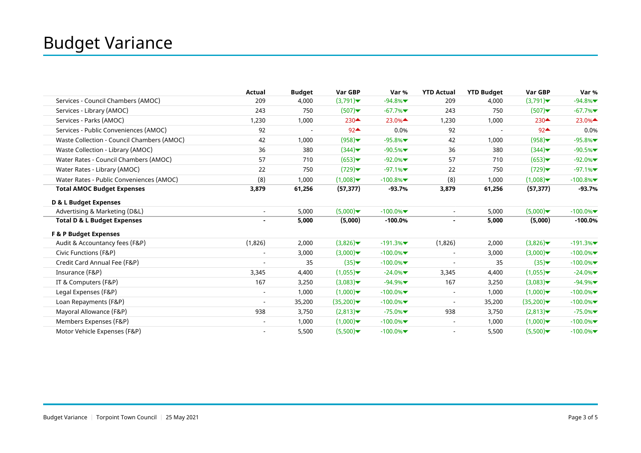|                                            | Actual                   | <b>Budget</b> | Var GBP                          | Var %      | <b>YTD Actual</b>        | <b>YTD Budget</b> | Var GBP                                 | Var %      |
|--------------------------------------------|--------------------------|---------------|----------------------------------|------------|--------------------------|-------------------|-----------------------------------------|------------|
| Services - Council Chambers (AMOC)         | 209                      | 4,000         | (3,791)                          | $-94.8%$   | 209                      | 4,000             | (3,791)                                 | $-94.8%$   |
| Services - Library (AMOC)                  | 243                      | 750           | (507)                            | $-67.7%$   | 243                      | 750               | (507)                                   | $-67.7%$   |
| Services - Parks (AMOC)                    | 1,230                    | 1,000         | $230 \triangle$                  | 23.0%      | 1,230                    | 1,000             | $230$ <sup><math>\triangle</math></sup> | $23.0\%$   |
| Services - Public Conveniences (AMOC)      | 92                       |               | $92 \triangle$                   | 0.0%       | 92                       |                   | $92 -$                                  | 0.0%       |
| Waste Collection - Council Chambers (AMOC) | 42                       | 1,000         | (958)                            | $-95.8%$   | 42                       | 1,000             | (958)                                   | $-95.8%$   |
| Waste Collection - Library (AMOC)          | 36                       | 380           | (344)                            | $-90.5%$   | 36                       | 380               | (344)                                   | $-90.5%$   |
| Water Rates - Council Chambers (AMOC)      | 57                       | 710           | (653)                            | $-92.0\%$  | 57                       | 710               | (653)                                   | $-92.0%$   |
| Water Rates - Library (AMOC)               | 22                       | 750           | (729)                            | $-97.1%$   | 22                       | 750               | (729)                                   | $-97.1%$   |
| Water Rates - Public Conveniences (AMOC)   | (8)                      | 1,000         | (1,008)                          | $-100.8%$  | (8)                      | 1,000             | (1,008)                                 | $-100.8%$  |
| <b>Total AMOC Budget Expenses</b>          | 3,879                    | 61,256        | (57, 377)                        | $-93.7%$   | 3,879                    | 61,256            | (57, 377)                               | $-93.7%$   |
| D & L Budget Expenses                      |                          |               |                                  |            |                          |                   |                                         |            |
| Advertising & Marketing (D&L)              | $\sim$                   | 5,000         | (5,000)                          | $-100.0\%$ | $\sim$                   | 5,000             | (5,000)                                 | $-100.0\%$ |
| <b>Total D &amp; L Budget Expenses</b>     |                          | 5,000         | (5,000)                          | $-100.0%$  |                          | 5,000             | (5,000)                                 | $-100.0%$  |
| <b>F &amp; P Budget Expenses</b>           |                          |               |                                  |            |                          |                   |                                         |            |
| Audit & Accountancy fees (F&P)             | (1,826)                  | 2,000         | (3,826)                          | $-191.3%$  | (1,826)                  | 2,000             | (3,826)                                 | $-191.3%$  |
| Civic Functions (F&P)                      |                          | 3,000         | (3,000)                          | $-100.0\%$ | $\blacksquare$           | 3,000             | (3,000)                                 | $-100.0\%$ |
| Credit Card Annual Fee (F&P)               |                          | 35            | (35)                             | $-100.0\%$ |                          | 35                | (35)                                    | $-100.0\%$ |
| Insurance (F&P)                            | 3,345                    | 4,400         | (1,055)                          | $-24.0\%$  | 3,345                    | 4,400             | (1,055)                                 | $-24.0\%$  |
| IT & Computers (F&P)                       | 167                      | 3,250         | (3,083)                          | $-94.9%$   | 167                      | 3,250             | (3,083)                                 | $-94.9%$   |
| Legal Expenses (F&P)                       | $\overline{\phantom{a}}$ | 1,000         | $(1,000)$ $\blacktriangledown$   | $-100.0\%$ | $\overline{\phantom{a}}$ | 1,000             | (1,000)                                 | $-100.0\%$ |
| Loan Repayments (F&P)                      | $\overline{\phantom{a}}$ | 35,200        | $(35,200)$ $\blacktriangleright$ | $-100.0\%$ | $\overline{\phantom{a}}$ | 35,200            | (35,200)                                | $-100.0\%$ |
| Mayoral Allowance (F&P)                    | 938                      | 3,750         | (2,813)                          | $-75.0%$   | 938                      | 3,750             | (2,813)                                 | $-75.0\%$  |
| Members Expenses (F&P)                     | $\overline{\phantom{a}}$ | 1,000         | (1,000)                          | $-100.0\%$ | $\blacksquare$           | 1,000             | (1,000)                                 | $-100.0%$  |
| Motor Vehicle Expenses (F&P)               | $\overline{\phantom{0}}$ | 5,500         | (5,500)                          | $-100.0%$  | $\blacksquare$           | 5,500             | (5,500)                                 | $-100.0\%$ |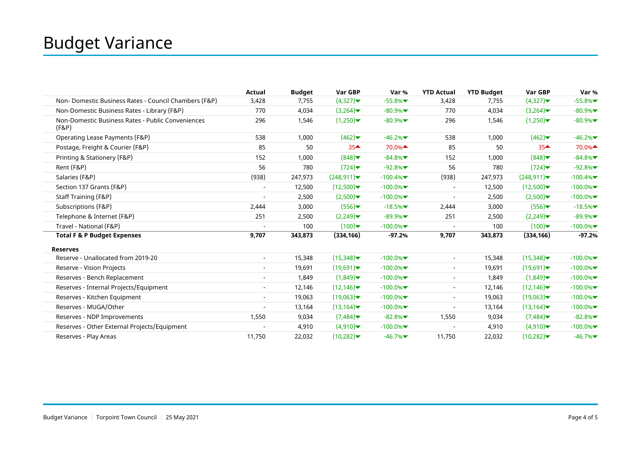|                                                            | Actual | <b>Budget</b> | Var GBP                       | Var %      | <b>YTD Actual</b>        | <b>YTD Budget</b> | Var GBP                      | Var %      |
|------------------------------------------------------------|--------|---------------|-------------------------------|------------|--------------------------|-------------------|------------------------------|------------|
| Non- Domestic Business Rates - Council Chambers (F&P)      | 3,428  | 7,755         | (4,327)                       | $-55.8%$   | 3,428                    | 7,755             | (4,327)                      | $-55.8%$   |
| Non-Domestic Business Rates - Library (F&P)                | 770    | 4,034         | (3,264)                       | $-80.9%$   | 770                      | 4,034             | (3,264)                      | $-80.9%$   |
| Non-Domestic Business Rates - Public Conveniences<br>(F&P) | 296    | 1,546         | (1,250)                       | $-80.9%$   | 296                      | 1,546             | (1,250)                      | $-80.9%$   |
| Operating Lease Payments (F&P)                             | 538    | 1,000         | (462)                         | $-46.2%$   | 538                      | 1,000             | (462)                        | $-46.2%$   |
| Postage, Freight & Courier (F&P)                           | 85     | 50            | $35 -$                        | 70.0%▲     | 85                       | 50                | 35 <sup>4</sup>              | 70.0%▲     |
| Printing & Stationery (F&P)                                | 152    | 1,000         | (848)                         | $-84.8%$   | 152                      | 1,000             | (848)                        | $-84.8%$   |
| Rent (F&P)                                                 | 56     | 780           | (724)                         | $-92.8%$   | 56                       | 780               | (724)                        | $-92.8%$   |
| Salaries (F&P)                                             | (938)  | 247,973       | $(248, 911)\n$                | $-100.4%$  | (938)                    | 247,973           | (248, 911)                   | $-100.4%$  |
| Section 137 Grants (F&P)                                   |        | 12,500        | (12,500)                      | $-100.0\%$ | $\blacksquare$           | 12,500            | (12,500)                     | $-100.0\%$ |
| Staff Training (F&P)                                       |        | 2,500         | (2,500)                       | $-100.0\%$ |                          | 2,500             | (2,500)                      | $-100.0\%$ |
| Subscriptions (F&P)                                        | 2,444  | 3,000         | (556)                         | $-18.5%$   | 2,444                    | 3,000             | (556)                        | $-18.5%$   |
| Telephone & Internet (F&P)                                 | 251    | 2,500         | (2,249)                       | $-89.9%$   | 251                      | 2,500             | (2,249)                      | $-89.9%$   |
| Travel - National (F&P)                                    |        | 100           | $(100)$ $\blacktriangleright$ | $-100.0%$  | $\blacksquare$           | 100               | $(100)$ $\blacktriangledown$ | $-100.0\%$ |
| <b>Total F &amp; P Budget Expenses</b>                     | 9,707  | 343,873       | (334, 166)                    | $-97.2%$   | 9,707                    | 343,873           | (334, 166)                   | $-97.2%$   |
| <b>Reserves</b>                                            |        |               |                               |            |                          |                   |                              |            |
| Reserve - Unallocated from 2019-20                         |        | 15,348        | (15,348)                      | $-100.0%$  | $\overline{\phantom{a}}$ | 15,348            | (15,348)                     | $-100.0\%$ |
| Reserve - Vision Projects                                  |        | 19,691        | (19,691)                      | $-100.0\%$ | $\overline{\phantom{a}}$ | 19,691            | (19,691)                     | $-100.0\%$ |
| Reserves - Bench Replacement                               |        | 1,849         | (1,849)                       | $-100.0\%$ | $\blacksquare$           | 1,849             | (1,849)                      | $-100.0\%$ |
| Reserves - Internal Projects/Equipment                     |        | 12,146        | (12, 146)                     | $-100.0\%$ | $\overline{\phantom{a}}$ | 12,146            | (12, 146)                    | $-100.0\%$ |
| Reserves - Kitchen Equipment                               |        | 19,063        | (19,063)                      | $-100.0\%$ | $\blacksquare$           | 19,063            | (19,063)                     | $-100.0\%$ |
| Reserves - MUGA/Other                                      |        | 13,164        | (13, 164)                     | $-100.0\%$ | $\overline{\phantom{a}}$ | 13,164            | (13, 164)                    | $-100.0\%$ |
| Reserves - NDP Improvements                                | 1,550  | 9,034         | (7,484)                       | $-82.8%$   | 1,550                    | 9,034             | (7,484)                      | $-82.8%$   |
| Reserves - Other External Projects/Equipment               |        | 4,910         | (4,910)                       | $-100.0\%$ | $\overline{\phantom{a}}$ | 4,910             | (4,910)                      | $-100.0%$  |
| Reserves - Play Areas                                      | 11,750 | 22,032        | (10,282)                      | $-46.7%$   | 11,750                   | 22,032            | (10, 282)                    | $-46.7%$   |